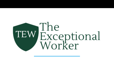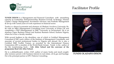

**TUNDE DIXON** is a Management and Financial Consultant with astonishing capacity in Leadership, Entrepreneurship, Business Growth & Strategy, Human Capital, Change Management, Investment Advisory and Portfolio Management & set-up with varied years of work experience in financial sector.

Tunde is a shrewd economist and alumnus of Obafemi Awolowo University Ile-Ife with an MBA (Management Consulting) from University of Wales UK and completing a PhD (Management) in SMC University in Switzerland. He is an alumnus Lagos Business School and Kaduna Business School, Kaduna Nigeria, where he is now a faculty member.

With several feathers to his shoulders, one of which is Certified Management Consultant (CMC) and a fellow of the Institute of Management Consultants, and associate of several professional bodies in Nigeria and abroad. He is also a Certified SME Toolkit Trainer, as awarded by the International Finance Corporation (IFC-a member of the World Bank Group). Tunde is the author of the life transforming book - **Life After School and the convener of the programme Real Life After School.**

He is a philanthropist, writer, OAP, author of many books and much soughtafter resource person with business interest in real estate, oil & gas and haulage. He is the principal partner at SPC Patterns Consulting.



#### **TUNDE OLADAPO-DIXON**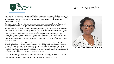

Enokponi is the Managing Consultant of Skills Dynamics Services Limited. She is a customer service consultant and certified customer service trainer with **Service Quality Institute (SQI) Minneapolis, USA** and accredited management trainer by **Center for Management Development (CMD).** 

She is particularly skilled in the improvement of customer service delivery and personnel winning attitudes in the workplace that would translate to optimal performance.

She was a Senior Manager, Training/Development and the Head, Business Development at The Financial Institutions Training Centre (FITC). She has designed and facilitated training for various levels in organisations –from fresh graduates to senior management. She delivers training in over 15 different topics related to customer services, succession planning, Leadership, Communication, Effective Presentation, Ethics and Professionalism, Sales and Marketing, Business Etiquette, Personal Effectiveness, Retirement Planning, Emotional Intelligence, Goal Setting, Change Management, Team Building and other soft skills to over 4,300 participants.

Eno was a seasoned banker with over 13 years working experience in Branch Banking, Branch Operations, Customer Service Delivery, Relationship Management and Customer Service Training. She had also held these positions Head, Branch Operations and Head, Branch Banking. She graduated from the University of Port Harcourt with a Bachelor Science Degree in Pure/Applied Mathematics and holds an MBA from the Rivers State University of Science & Technology, Port Harcourt Rivers State Nigeria.

Also, she had attended various courses in training, designing and delivering learning. She is a professional member of Association for Talent Development (ATD), Learning & Development Network International (LDNI) and an ATD Delegation Leader.



**ENOKPONI INIWORIKABO**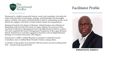

Emmanuel is a highly resourceful trainer, coach, and consultant, who plies his trade at the junction of technology, strategy, and leadership. He thoroughly enjoys working with teams and individuals to deliver outstanding results, as he effectively engages with them to build resilient minds and organisations.

Emmanuel had his first degree in Business Administration and a Masters in Marketing, both from the University of Lagos, Nigeria. He received a Post Graduate Certificate in Management from Ashridge Business School, London, UK, and completed the Senior Management Programme of the Lagos Business School. Emmanuel is currently engaged in Doctoral work in Digital Business Strategy at Covenant University, Ota, Nigeria.

Emmanuel is a DISC Certified Business Consultant, Certified Evernote Consultant, and a Certified Brain Friendly Trainer, among others.

A minister of the gospel, he is married with four grown up and working adult kids – and growing up grand kids.



**EMMANUEL EMIELU**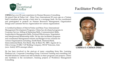

**CHIMA** has over 20 years experience in Human Resource Consulting. He joined Dale & Parker Ltd. - Brian Tracy International 20 years ago as a Trainee Staff Consultant after having a brief stint in a mortgage bank. He has coordinated and participated in projects on Human Resources Management, Organization Design and Customer Service Appreciation for various organizations

A Certified facilitator of Dale & Parker and Brian Tracy International Management Development Programs, Chima has developed programs in Customer Service, Selling & Marketing Skills, Communication Skills, Leadership & Management Skills, Personal Effectiveness, Negotiation and Interpersonal Relationship skills. He has also facilitated programs and coordinated Management retreats and Budget review sessions for various Organizations including; Zenith Bank, Diamond Bank, Intercontinental Bank, First Bank, May & Baker Plc. IBFC-Agusto & Co, Odu'a Group, FCMB, 7-UP Bottling Company, SWAP Telecoms, Zain (now Airtel), MTN amongst others.

He has been involved in the start-up of many consulting firms like, Learning Platform Ltd., Corporate Consulting Group, Universal Training and consulting Ltd, Wrybill Solutions Limited and still facilitates in their programs and projects. Chima also facilitates in the recruitment /training projects of Workforce Management Consulting.



**CHIMA O. CHIMA-DIKE**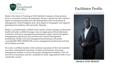

Shaka is the Head of Training at OAK Interlink Company whose primary focus is on human resource development, He has a special executive master's degree in Entrepreneurship from the Metropolitan school of business & management, United Kingdom and a first degree in Geography and regional planning from Ambrose Alli university, Ekpoma.

Shaka is a professionally certified scrum master, project manager professional, health and safety certified manager, lean six sigma green belt professional, warehouse and stores management professional, supply chain and logistics management professional, procurement and contract management professional, facility and asset management professional, document controller(ISO 9001/303010),ITIL service management professional and first aid treatment provider.

He is also a certified member of the national association of first aid treatment providers, international association of safety professionals, document management institute as well as the project management institute, USA. He has led several projects and has consulted for many organisations both in and outside the country.



**SHAKA OVIE ERNEST**